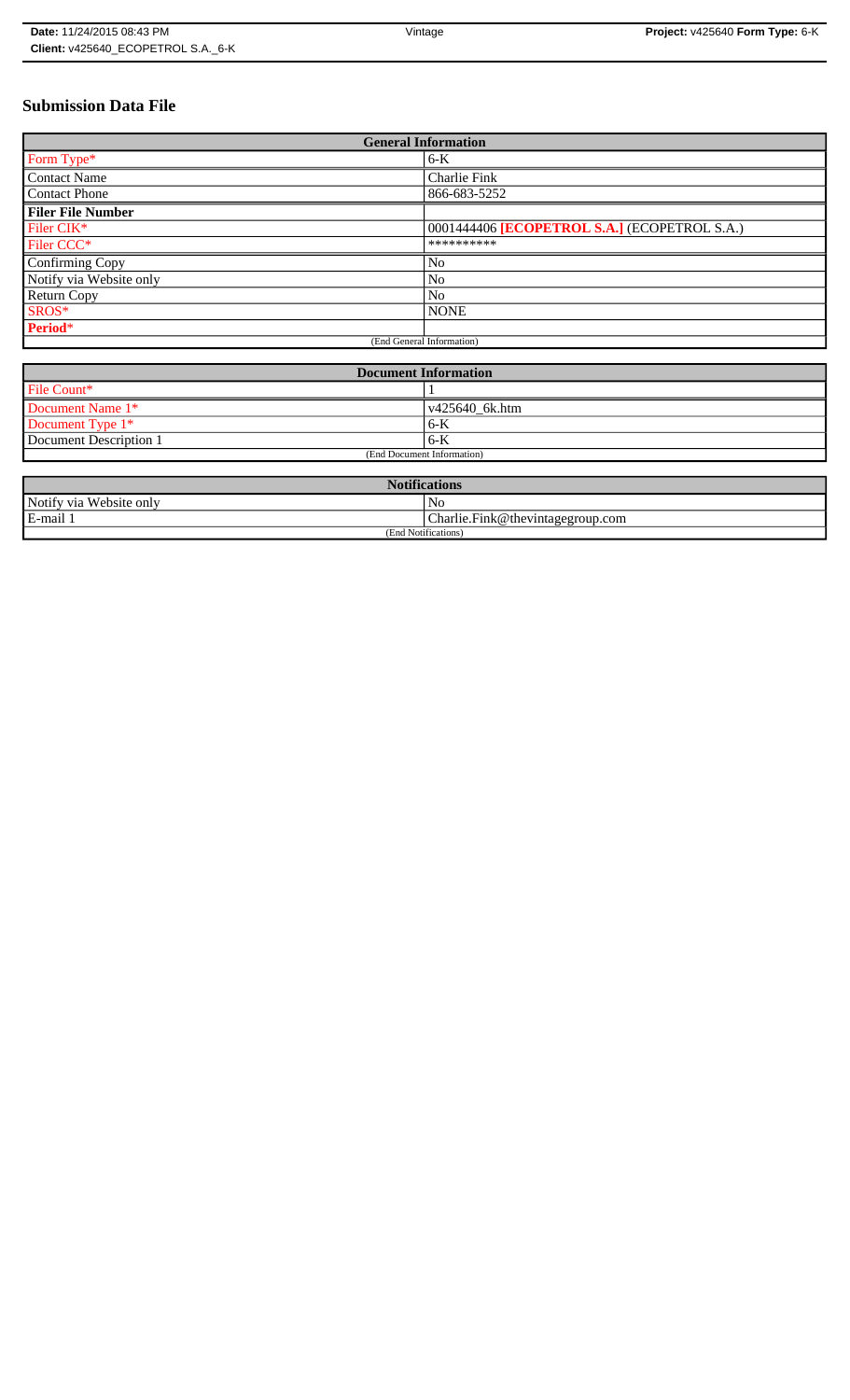# **Submission Data File**

| <b>General Information</b> |                                              |
|----------------------------|----------------------------------------------|
| Form Type*                 | $6-K$                                        |
| <b>Contact Name</b>        | Charlie Fink                                 |
| <b>Contact Phone</b>       | 866-683-5252                                 |
| <b>Filer File Number</b>   |                                              |
| Filer CIK*                 | 0001444406 [ECOPETROL S.A.] (ECOPETROL S.A.) |
| Filer CCC <sup>*</sup>     | **********                                   |
| Confirming Copy            | No                                           |
| Notify via Website only    | N <sub>o</sub>                               |
| <b>Return Copy</b>         | N <sub>o</sub>                               |
| SROS*                      | <b>NONE</b>                                  |
| Period*                    |                                              |
| (End General Information)  |                                              |

| <b>Document Information</b> |                        |
|-----------------------------|------------------------|
| File Count*                 |                        |
| Document Name 1*            | $\sqrt{425640}$ 6k.htm |
| Document Type 1*            | 6-K                    |
| Document Description 1      | 6-K                    |
| (End Document Information)  |                        |

| <b>Notifications</b>    |                                  |
|-------------------------|----------------------------------|
| Notify via Website only | N0                               |
| E-mail 1                | Charlie.Fink@thevintagegroup.com |
| (End Notifications)     |                                  |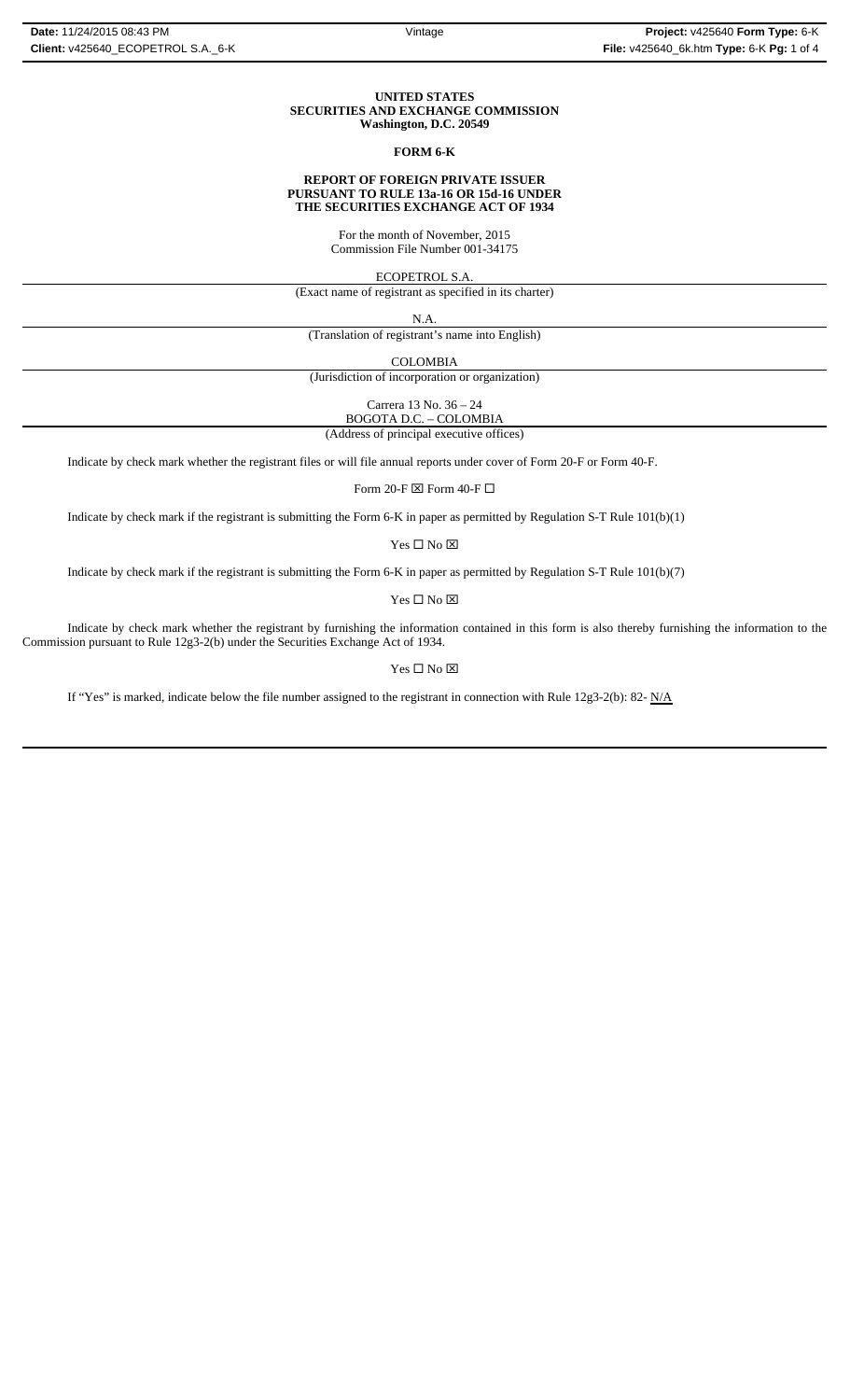#### **UNITED STATES SECURITIES AND EXCHANGE COMMISSION Washington, D.C. 20549**

# **FORM 6-K**

#### **REPORT OF FOREIGN PRIVATE ISSUER PURSUANT TO RULE 13a-16 OR 15d-16 UNDER THE SECURITIES EXCHANGE ACT OF 1934**

For the month of November, 2015 Commission File Number 001-34175

ECOPETROL S.A.

(Exact name of registrant as specified in its charter)

N.A.

(Translation of registrant's name into English)

COLOMBIA

(Jurisdiction of incorporation or organization)

Carrera 13 No. 36 – 24 BOGOTA D.C. – COLOMBIA

(Address of principal executive offices)

Indicate by check mark whether the registrant files or will file annual reports under cover of Form 20-F or Form 40-F.

Form 20-F  $\boxtimes$  Form 40-F  $\Box$ 

Indicate by check mark if the registrant is submitting the Form 6-K in paper as permitted by Regulation S-T Rule 101(b)(1)

Yes $\square$  No  $\square$ 

Indicate by check mark if the registrant is submitting the Form 6-K in paper as permitted by Regulation S-T Rule 101(b)(7)

 $\mathbf{Yes} \ \square \ \mathbf{No} \ \boxtimes$ 

Indicate by check mark whether the registrant by furnishing the information contained in this form is also thereby furnishing the information to the Commission pursuant to Rule 12g3-2(b) under the Securities Exchange Act of 1934.

# $Yes \Box No \boxtimes$

If "Yes" is marked, indicate below the file number assigned to the registrant in connection with Rule 12g3-2(b): 82-  $N/A$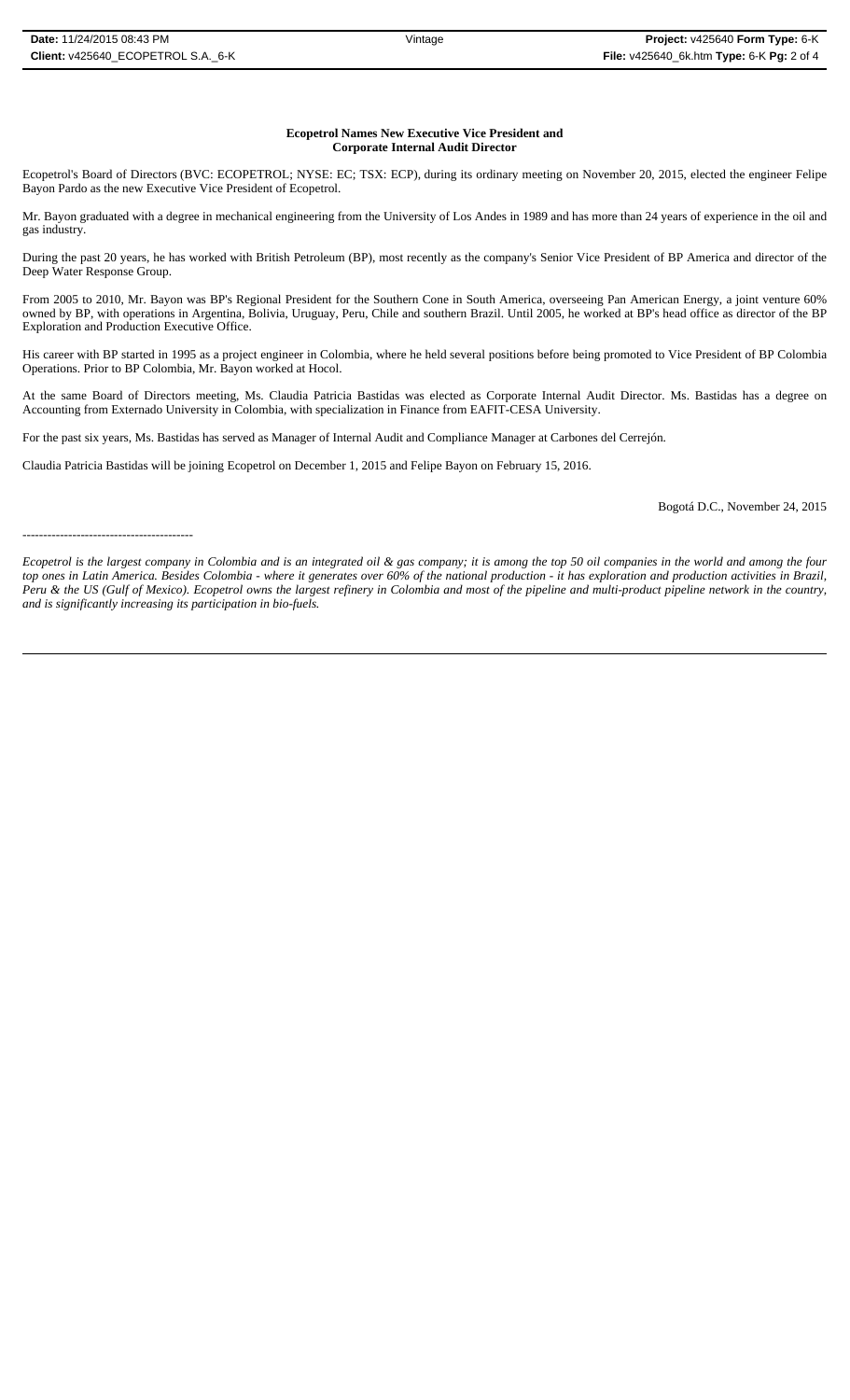### **Ecopetrol Names New Executive Vice President and Corporate Internal Audit Director**

Ecopetrol's Board of Directors (BVC: ECOPETROL; NYSE: EC; TSX: ECP), during its ordinary meeting on November 20, 2015, elected the engineer Felipe Bayon Pardo as the new Executive Vice President of Ecopetrol.

Mr. Bayon graduated with a degree in mechanical engineering from the University of Los Andes in 1989 and has more than 24 years of experience in the oil and gas industry.

During the past 20 years, he has worked with British Petroleum (BP), most recently as the company's Senior Vice President of BP America and director of the Deep Water Response Group.

From 2005 to 2010, Mr. Bayon was BP's Regional President for the Southern Cone in South America, overseeing Pan American Energy, a joint venture 60% owned by BP, with operations in Argentina, Bolivia, Uruguay, Peru, Chile and southern Brazil. Until 2005, he worked at BP's head office as director of the BP Exploration and Production Executive Office.

His career with BP started in 1995 as a project engineer in Colombia, where he held several positions before being promoted to Vice President of BP Colombia Operations. Prior to BP Colombia, Mr. Bayon worked at Hocol.

At the same Board of Directors meeting, Ms. Claudia Patricia Bastidas was elected as Corporate Internal Audit Director. Ms. Bastidas has a degree on Accounting from Externado University in Colombia, with specialization in Finance from EAFIT-CESA University.

For the past six years, Ms. Bastidas has served as Manager of Internal Audit and Compliance Manager at Carbones del Cerrejón.

Claudia Patricia Bastidas will be joining Ecopetrol on December 1, 2015 and Felipe Bayon on February 15, 2016.

Bogotá D.C., November 24, 2015

```
-----------------------------------------
```
*Ecopetrol is the largest company in Colombia and is an integrated oil & gas company; it is among the top 50 oil companies in the world and among the four top ones in Latin America. Besides Colombia - where it generates over 60% of the national production - it has exploration and production activities in Brazil, Peru & the US (Gulf of Mexico). Ecopetrol owns the largest refinery in Colombia and most of the pipeline and multi-product pipeline network in the country, and is significantly increasing its participation in bio-fuels.*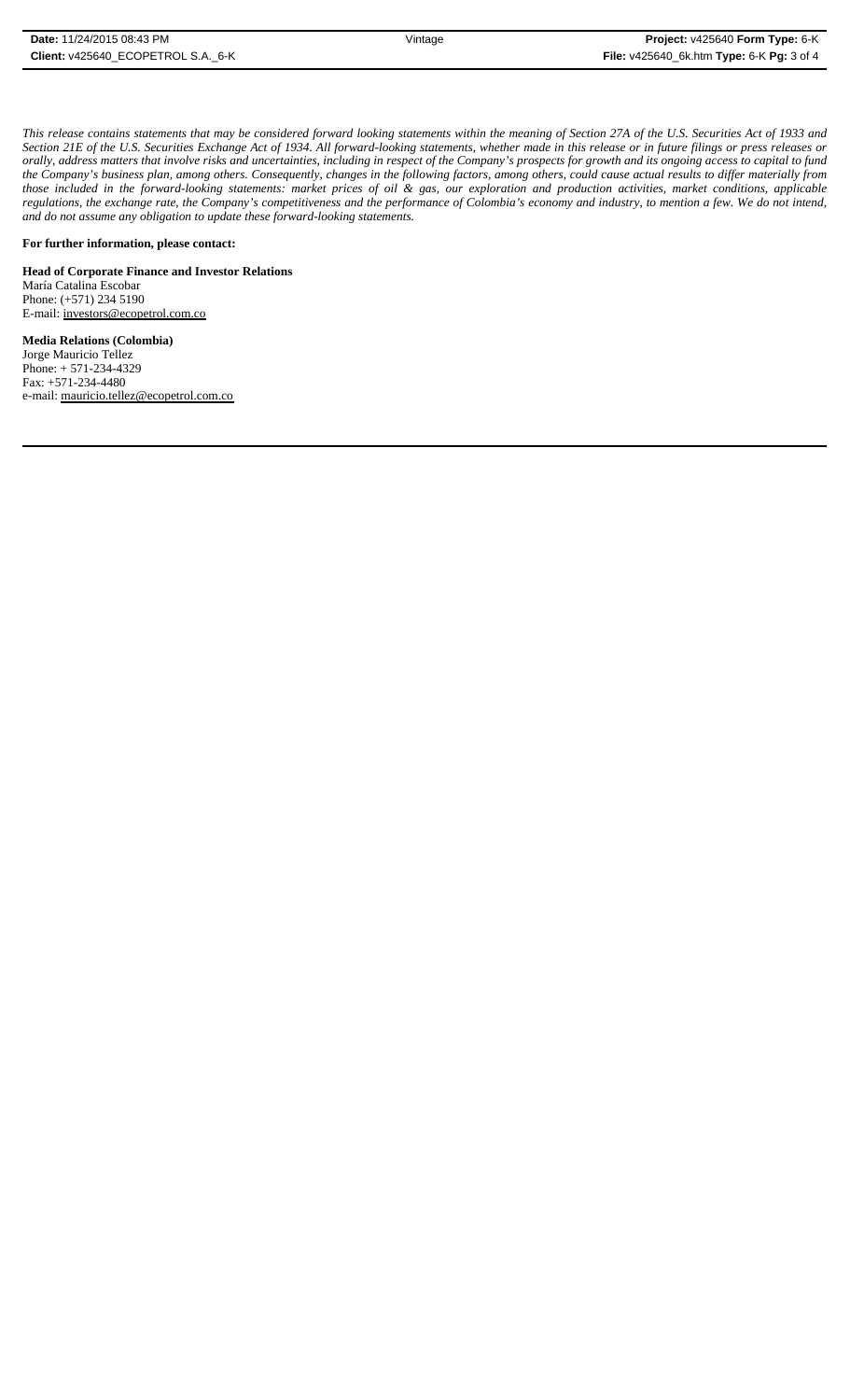*This release contains statements that may be considered forward looking statements within the meaning of Section 27A of the U.S. Securities Act of 1933 and Section 21E of the U.S. Securities Exchange Act of 1934. All forward-looking statements, whether made in this release or in future filings or press releases or orally, address matters that involve risks and uncertainties, including in respect of the Company's prospects for growth and its ongoing access to capital to fund the Company's business plan, among others. Consequently, changes in the following factors, among others, could cause actual results to differ materially from those included in the forward-looking statements: market prices of oil & gas, our exploration and production activities, market conditions, applicable regulations, the exchange rate, the Company's competitiveness and the performance of Colombia's economy and industry, to mention a few. We do not intend, and do not assume any obligation to update these forward-looking statements.*

#### **For further information, please contact:**

**Head of Corporate Finance and Investor Relations** María Catalina Escobar Phone: (+571) 234 5190 E-mail: investors@ecopetrol.com.co

**Media Relations (Colombia)**  Jorge Mauricio Tellez Phone: + 571-234-4329 Fax: +571-234-4480 e-mail: mauricio.tellez@ecopetrol.com.co